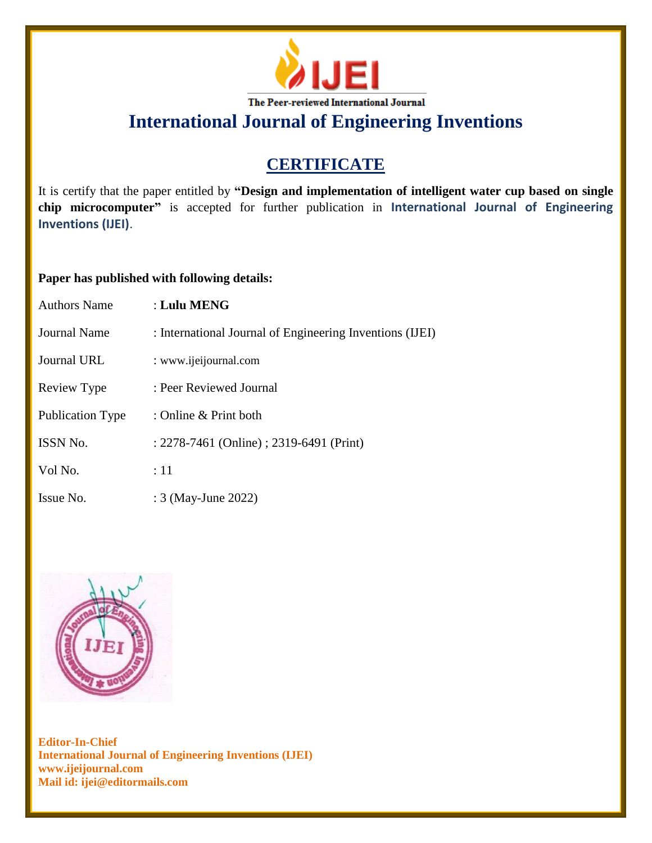

# **CERTIFICATE**

It is certify that the paper entitled by **"Design and implementation of intelligent water cup based on single chip microcomputer"** is accepted for further publication in **International Journal of Engineering Inventions (IJEI)**.

### **Paper has published with following details:**

| <b>Authors Name</b>     | $:$ Lulu MENG                                            |
|-------------------------|----------------------------------------------------------|
| Journal Name            | : International Journal of Engineering Inventions (IJEI) |
| Journal URL             | : www.ijeijournal.com                                    |
| Review Type             | : Peer Reviewed Journal                                  |
| <b>Publication Type</b> | : Online $&$ Print both                                  |
| <b>ISSN No.</b>         | : 2278-7461 (Online) ; 2319-6491 (Print)                 |
| Vol No.                 | :11                                                      |
| Issue No.               | : 3 (May-June 2022)                                      |

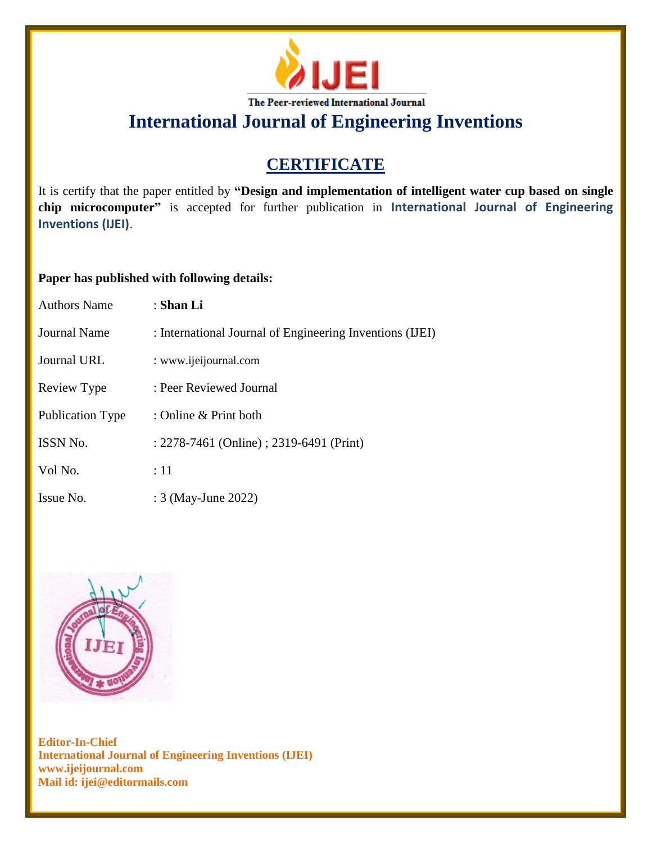

# **CERTIFICATE**

It is certify that the paper entitled by **"Design and implementation of intelligent water cup based on single chip microcomputer"** is accepted for further publication in **International Journal of Engineering Inventions (IJEI)**.

### **Paper has published with following details:**

| <b>Authors Name</b>     | : Shan Li                                                |
|-------------------------|----------------------------------------------------------|
| Journal Name            | : International Journal of Engineering Inventions (IJEI) |
| <b>Journal URL</b>      | : www.ijeijournal.com                                    |
| Review Type             | : Peer Reviewed Journal                                  |
| <b>Publication Type</b> | : Online & Print both                                    |
| <b>ISSN No.</b>         | : 2278-7461 (Online) ; 2319-6491 (Print)                 |
| Vol No.                 | :11                                                      |
| Issue No.               | : 3 (May-June 2022)                                      |

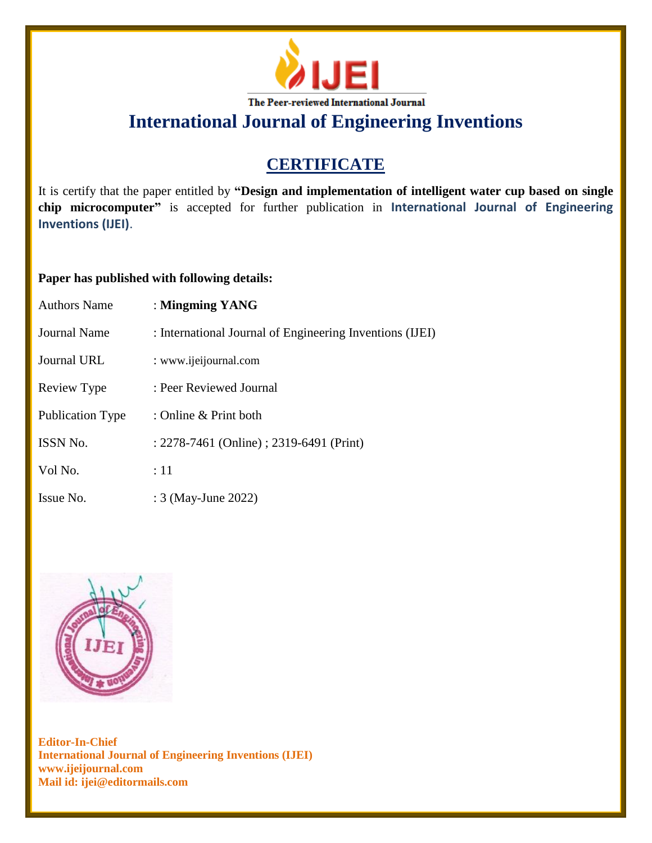

# **CERTIFICATE**

It is certify that the paper entitled by **"Design and implementation of intelligent water cup based on single chip microcomputer"** is accepted for further publication in **International Journal of Engineering Inventions (IJEI)**.

### **Paper has published with following details:**

| <b>Authors Name</b>     | : Mingming YANG                                          |
|-------------------------|----------------------------------------------------------|
| Journal Name            | : International Journal of Engineering Inventions (IJEI) |
| <b>Journal URL</b>      | : www.ijeijournal.com                                    |
| Review Type             | : Peer Reviewed Journal                                  |
| <b>Publication Type</b> | : Online $&$ Print both                                  |
| <b>ISSN No.</b>         | : 2278-7461 (Online) ; 2319-6491 (Print)                 |
| Vol No.                 | :11                                                      |
| Issue No.               | : 3 (May-June 2022)                                      |

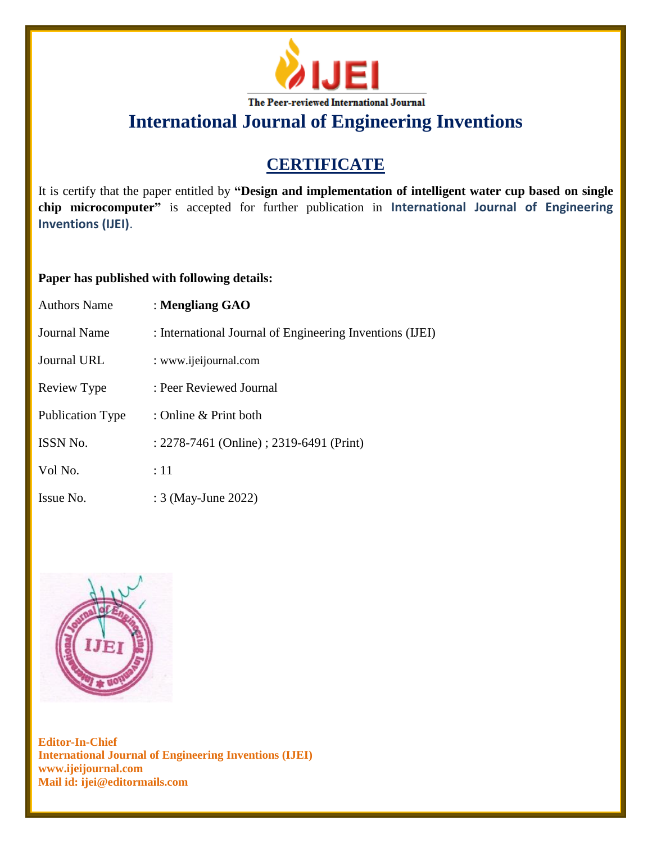

# **CERTIFICATE**

It is certify that the paper entitled by **"Design and implementation of intelligent water cup based on single chip microcomputer"** is accepted for further publication in **International Journal of Engineering Inventions (IJEI)**.

### **Paper has published with following details:**

| <b>Authors Name</b> | : Mengliang GAO                                          |
|---------------------|----------------------------------------------------------|
| Journal Name        | : International Journal of Engineering Inventions (IJEI) |
| <b>Journal URL</b>  | : www.ijeijournal.com                                    |
| Review Type         | : Peer Reviewed Journal                                  |
| Publication Type    | : Online & Print both                                    |
| ISSN No.            | : 2278-7461 (Online) ; 2319-6491 (Print)                 |
| Vol No.             | :11                                                      |
| Issue No.           | : 3 (May-June 2022)                                      |

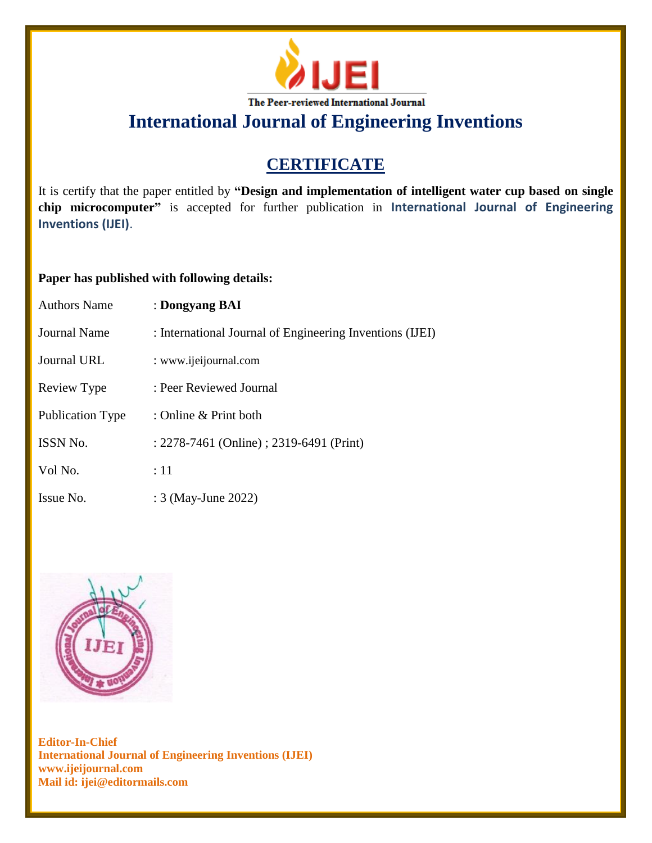

# **CERTIFICATE**

It is certify that the paper entitled by **"Design and implementation of intelligent water cup based on single chip microcomputer"** is accepted for further publication in **International Journal of Engineering Inventions (IJEI)**.

### **Paper has published with following details:**

| <b>Authors Name</b>     | : Dongyang BAI                                           |
|-------------------------|----------------------------------------------------------|
| Journal Name            | : International Journal of Engineering Inventions (IJEI) |
| Journal URL             | : www.ijeijournal.com                                    |
| Review Type             | : Peer Reviewed Journal                                  |
| <b>Publication Type</b> | : Online & Print both                                    |
| <b>ISSN No.</b>         | : 2278-7461 (Online) ; 2319-6491 (Print)                 |
| Vol No.                 | :11                                                      |
| Issue No.               | : 3 (May-June 2022)                                      |